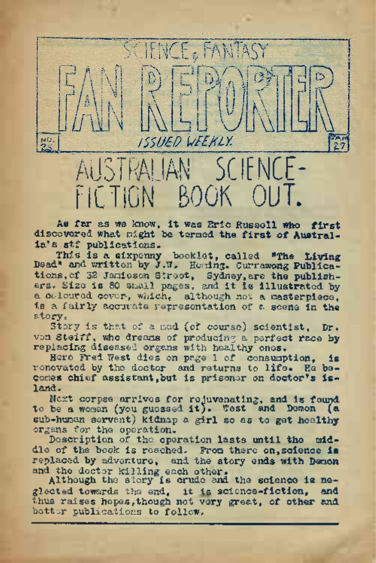As far as we know, ft was Eric Russell who first discovered what night be termed the first of Austral $ia's$  stf publications.

TIGN BOOK

NO.

 $AN$  sc

ISSIIED WEEKLY.

This is a sixpenny booklet, called "The Living Dead" and written by J.W, Honing. Currawong Publications, of 32 Jamieson Street, Sydney, are the publish-<br>ers. Size is 80 small pages, and it is illustrated by a coloured cover, which, although not a masterpiece, is a fairly accurate representation of a scene in the story.

Story is that of a mad (of course) scientist, Dr. von Steiff, who dreams of producing a perfect race by replacing diseased organs with healthy ones.

Hero Fred West dies on page 1 of consumption, is renovated by the doctor and returns to life. He becomes chief assistant, but is prisoner on doctor's island.

Next corpse arrives for rejuvenating, and is found to be a woman (you guessed it). West and Demon (a sub-human servant) kidnap a girl so as to get healthy organs for the operation.

Description of the operation lasts until the middle of the book is reached.. From there on, science **is** replaced by adventure, and the story ends with Demon

and the doctor killing each other. Although the story is crude and the science is neglected towards the end, it is science-fiction, and thus raises hopes,though not very great, of other and better publications to follow,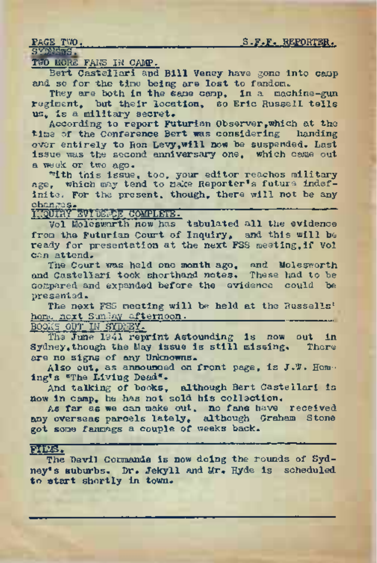PAGE TWO. 6. S.F.F. REPORTER.

SYSMARIS.

TWO MORE FANS IN CAMP.

Bert Castellari and Bill Veney have gone into camp and so for the time being are lost to fandom.

They are both in the same camp, in a machine-gun regiment, but their location, so Eric Russell tells us, is a military secret.

According to report Futurian Observer,which at the time of the Conference Bert was considering handing over entirely to Ron Levy,will now be suspended. Last issue was the second anniversary one, which came out a week or two ago.

With this issue, too, your editor reaches military age, which may tend to make Reporter's future indefinite. For the present, though, there will not be any changes., \_\_\_\_\_\_\_ INQUIRY itVI DENON COlV^tfeTST

Vol Molegworth now has tabulated all the evidence from the Futurian Court of Inquiry, and this will be ready for presentation at the next FSS meeting,if Vol can attend.

The Court was held one month ago, and Molesworth. and Castellari took shorthand notes. These had to be compared and expanded before the evidence could be presented.

The next FSS meeting will be held at the Russells' home next Sunday afternoon.

BOOKS OUT IN SYDNEY.

The June 1941 reprint Astounding is now out in Sydney,though the May issue is still missing. There are no signs of any Unknowns.

Also out, as announced on front page, is J.W. Hem-ing's "The Living Dead".

And talking of books, although Bert Castellari is now in camp, he has not sold his collection.

As far as we can make out, no fans have received any overseas parcels lately, although Graham Stone got some fanmags a couple of weeks back.

## pitas.

The Devil Cormands is now doing the rounds of Sydney's suburbs. Dr. Jekyll and Mr. Hyde is scheduled to start shortly in town.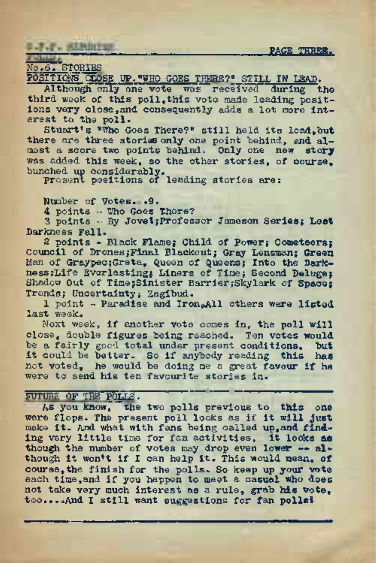PAGE THREE.

## **L.F.F. Albinium**

## o.6. STORIES

POSITIONS CLOSE UP. "WHO GOES THERE?" STILL IN LEAD.

Although only one vote was received during the third week of this poll, this vote made leading positions very close,and consequently adds a lot more interest to the poll.

Stuart's "Who Goes There?" still held its lead,but there are three stories only one point behind, and almost a score two points behind. Only one new story was added this week, so the other stories, of course, bunched up considerably. Present positions of leading stories are:

Number of Votes.•9.

4 points - Who Goes There?

3 points - By JoveIyProfessor Jameson Series*; Lest* Darkness Fall.

2 points - Black Flame; Child of Power; Cometeers; Council of Drones;Final Blackout; Gray Lensman; Green Man of Graypec;Greta, Queen of Queens; Into the Darkness ;Life Everlasting; Liners of Time; Second Deluge; Shadow Out of Time;Sinister Barrier;Skylark of Space: Trends; Uncertainty; Zagibud.

1 point - Paradise and Iron.All others were listed last week.

Next week, if another vote comes in, the poll will close, double figures being reached. Ten votes would be a fairly good total under present conditions. but it could be better. So if anybody reading this has not voted, he would be doing me a great favour if he were to send his ten favourite stories in.

## FUTURE OF THE POLIS.

As you know. The two polls previous to this one<br>were flops. The present poll looks as if it will just make it- And what with fans being called up,and finding very little time for fan activities, it looks as though the number of votes may drop even lower — although it won't if I can help it. This would mean, of course,the finish for the polls.. So keep up your vote each time,and if you happen to meet a casual who does not take very much interest as a rule, grab his vote, too.,..And I still want suggestions for fan polls!